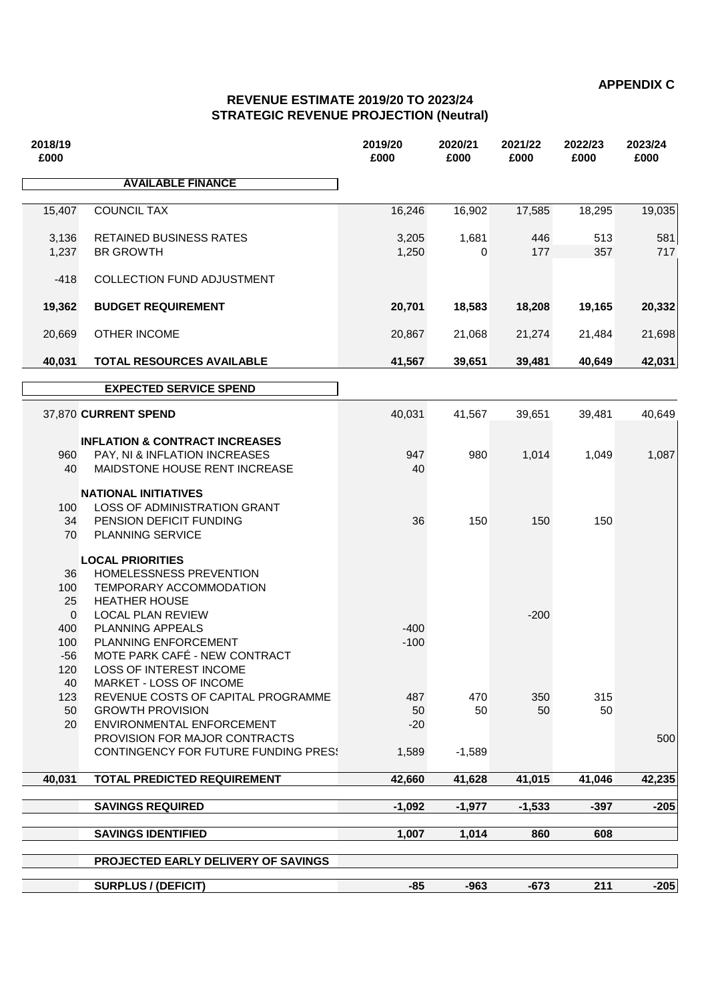**APPENDIX C**

## **REVENUE ESTIMATE 2019/20 TO 2023/24 STRATEGIC REVENUE PROJECTION (Neutral)**

| 2018/19<br>£000                                 |                                                                                                                                                                               | 2019/20<br>£000             | 2020/21<br>£000       | 2021/22<br>£000 | 2022/23<br>£000 | 2023/24<br>£000 |
|-------------------------------------------------|-------------------------------------------------------------------------------------------------------------------------------------------------------------------------------|-----------------------------|-----------------------|-----------------|-----------------|-----------------|
|                                                 | <b>AVAILABLE FINANCE</b>                                                                                                                                                      |                             |                       |                 |                 |                 |
| 15,407                                          | <b>COUNCIL TAX</b>                                                                                                                                                            | 16,246                      | 16,902                | 17,585          | 18,295          | 19,035          |
| 3,136<br>1,237                                  | <b>RETAINED BUSINESS RATES</b><br><b>BR GROWTH</b>                                                                                                                            | 3,205<br>1,250              | 1,681<br>0            | 446<br>177      | 513<br>357      | 581<br>717      |
| $-418$                                          | <b>COLLECTION FUND ADJUSTMENT</b>                                                                                                                                             |                             |                       |                 |                 |                 |
| 19,362                                          | <b>BUDGET REQUIREMENT</b>                                                                                                                                                     | 20,701                      | 18,583                | 18,208          | 19,165          | 20,332          |
| 20,669                                          | <b>OTHER INCOME</b>                                                                                                                                                           | 20,867                      | 21,068                | 21,274          | 21,484          | 21,698          |
| 40,031                                          | <b>TOTAL RESOURCES AVAILABLE</b>                                                                                                                                              | 41,567                      | 39,651                | 39,481          | 40,649          | 42,031          |
|                                                 | <b>EXPECTED SERVICE SPEND</b>                                                                                                                                                 |                             |                       |                 |                 |                 |
|                                                 | 37,870 CURRENT SPEND                                                                                                                                                          | 40,031                      | 41,567                | 39,651          | 39,481          | 40,649          |
| 960<br>40                                       | <b>INFLATION &amp; CONTRACT INCREASES</b><br>PAY, NI & INFLATION INCREASES<br>MAIDSTONE HOUSE RENT INCREASE                                                                   | 947<br>40                   | 980                   | 1,014           | 1,049           | 1,087           |
| 100<br>34<br>70                                 | <b>NATIONAL INITIATIVES</b><br>LOSS OF ADMINISTRATION GRANT<br>PENSION DEFICIT FUNDING<br><b>PLANNING SERVICE</b>                                                             | 36                          | 150                   | 150             | 150             |                 |
| 36<br>100<br>25<br>$\overline{0}$<br>400<br>100 | <b>LOCAL PRIORITIES</b><br>HOMELESSNESS PREVENTION<br>TEMPORARY ACCOMMODATION<br><b>HEATHER HOUSE</b><br><b>LOCAL PLAN REVIEW</b><br>PLANNING APPEALS<br>PLANNING ENFORCEMENT | $-400$<br>$-100$            |                       | $-200$          |                 |                 |
| $-56$<br>120<br>40                              | MOTE PARK CAFÉ - NEW CONTRACT<br>LOSS OF INTEREST INCOME<br><b>MARKET - LOSS OF INCOME</b>                                                                                    |                             |                       |                 |                 |                 |
| 123<br>50<br>20                                 | REVENUE COSTS OF CAPITAL PROGRAMME<br><b>GROWTH PROVISION</b><br>ENVIRONMENTAL ENFORCEMENT<br>PROVISION FOR MAJOR CONTRACTS<br>CONTINGENCY FOR FUTURE FUNDING PRESS           | 487<br>50<br>$-20$<br>1,589 | 470<br>50<br>$-1,589$ | 350<br>50       | 315<br>50       | 500             |
| 40,031                                          | <b>TOTAL PREDICTED REQUIREMENT</b>                                                                                                                                            | 42,660                      | 41,628                | 41,015          | 41,046          | 42,235          |
|                                                 |                                                                                                                                                                               |                             |                       |                 |                 |                 |
|                                                 | <b>SAVINGS REQUIRED</b>                                                                                                                                                       | $-1,092$                    | $-1,977$              | $-1,533$        | $-397$          | $-205$          |
|                                                 | <b>SAVINGS IDENTIFIED</b>                                                                                                                                                     | 1,007                       | 1,014                 | 860             | 608             |                 |
|                                                 | PROJECTED EARLY DELIVERY OF SAVINGS                                                                                                                                           |                             |                       |                 |                 |                 |
|                                                 | <b>SURPLUS / (DEFICIT)</b>                                                                                                                                                    | $-85$                       | $-963$                | $-673$          | 211             | $-205$          |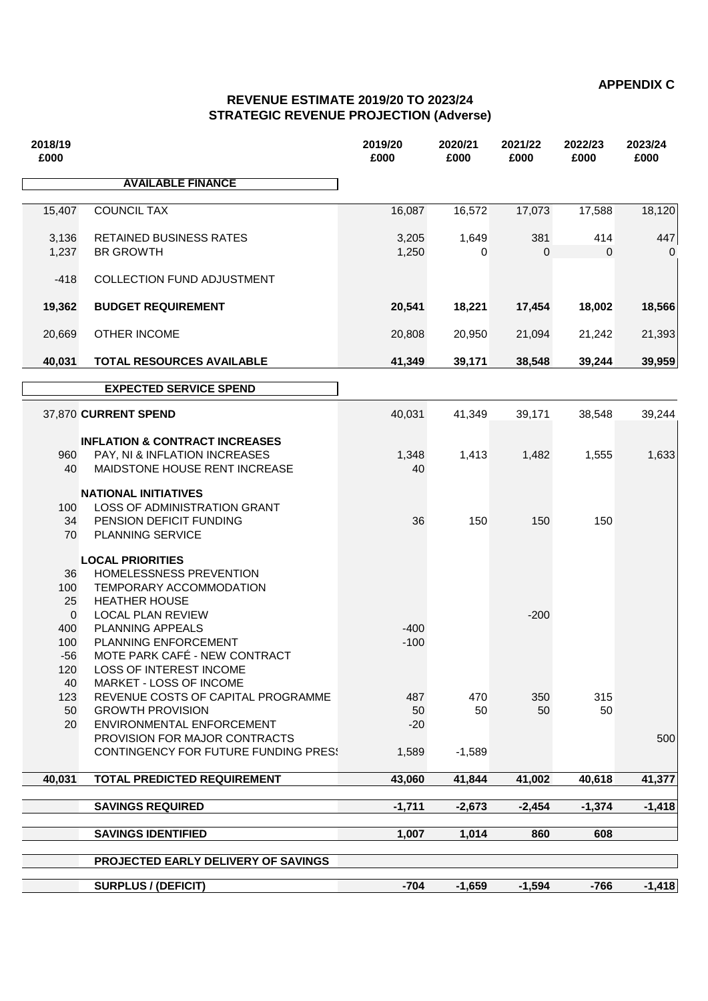**APPENDIX C**

## **REVENUE ESTIMATE 2019/20 TO 2023/24 STRATEGIC REVENUE PROJECTION (Adverse)**

| 2018/19<br>£000                                        |                                                                                                                                                                                                                | 2019/20<br>£000    | 2020/21<br>£000 | 2021/22<br>£000 | 2022/23<br>£000 | 2023/24<br>£000 |
|--------------------------------------------------------|----------------------------------------------------------------------------------------------------------------------------------------------------------------------------------------------------------------|--------------------|-----------------|-----------------|-----------------|-----------------|
|                                                        | <b>AVAILABLE FINANCE</b>                                                                                                                                                                                       |                    |                 |                 |                 |                 |
| 15,407                                                 | <b>COUNCIL TAX</b>                                                                                                                                                                                             | 16,087             | 16,572          | 17,073          | 17,588          | 18,120          |
| 3,136<br>1,237                                         | <b>RETAINED BUSINESS RATES</b><br><b>BR GROWTH</b>                                                                                                                                                             | 3,205<br>1,250     | 1,649<br>0      | 381<br>0        | 414<br>$\Omega$ | 447             |
| $-418$                                                 | COLLECTION FUND ADJUSTMENT                                                                                                                                                                                     |                    |                 |                 |                 |                 |
| 19,362                                                 | <b>BUDGET REQUIREMENT</b>                                                                                                                                                                                      | 20,541             | 18,221          | 17,454          | 18,002          | 18,566          |
| 20,669                                                 | <b>OTHER INCOME</b>                                                                                                                                                                                            | 20,808             | 20,950          | 21,094          | 21,242          | 21,393          |
| 40,031                                                 | <b>TOTAL RESOURCES AVAILABLE</b>                                                                                                                                                                               | 41,349             | 39,171          | 38,548          | 39,244          | 39,959          |
|                                                        | <b>EXPECTED SERVICE SPEND</b>                                                                                                                                                                                  |                    |                 |                 |                 |                 |
|                                                        | 37,870 CURRENT SPEND                                                                                                                                                                                           | 40,031             | 41,349          | 39,171          | 38,548          | 39,244          |
| 960<br>40                                              | <b>INFLATION &amp; CONTRACT INCREASES</b><br>PAY, NI & INFLATION INCREASES<br>MAIDSTONE HOUSE RENT INCREASE                                                                                                    | 1,348<br>40        | 1,413           | 1,482           | 1,555           | 1,633           |
| 100<br>34<br>70                                        | <b>NATIONAL INITIATIVES</b><br>LOSS OF ADMINISTRATION GRANT<br>PENSION DEFICIT FUNDING<br><b>PLANNING SERVICE</b>                                                                                              | 36                 | 150             | 150             | 150             |                 |
| 36<br>100<br>25<br>$\mathbf{0}$<br>400<br>100<br>$-56$ | <b>LOCAL PRIORITIES</b><br>HOMELESSNESS PREVENTION<br>TEMPORARY ACCOMMODATION<br><b>HEATHER HOUSE</b><br><b>LOCAL PLAN REVIEW</b><br>PLANNING APPEALS<br>PLANNING ENFORCEMENT<br>MOTE PARK CAFÉ - NEW CONTRACT | $-400$<br>$-100$   |                 | $-200$          |                 |                 |
| 120<br>40<br>123<br>50<br>20                           | LOSS OF INTEREST INCOME<br><b>MARKET - LOSS OF INCOME</b><br>REVENUE COSTS OF CAPITAL PROGRAMME<br><b>GROWTH PROVISION</b><br>ENVIRONMENTAL ENFORCEMENT<br>PROVISION FOR MAJOR CONTRACTS                       | 487<br>50<br>$-20$ | 470<br>50       | 350<br>50       | 315<br>50       | 500             |
|                                                        | <b>CONTINGENCY FOR FUTURE FUNDING PRESS</b>                                                                                                                                                                    | 1,589              | $-1.589$        |                 |                 |                 |
| 40,031                                                 | <b>TOTAL PREDICTED REQUIREMENT</b>                                                                                                                                                                             | 43,060             | 41,844          | 41,002          | 40,618          | 41,377          |
|                                                        | <b>SAVINGS REQUIRED</b>                                                                                                                                                                                        | $-1,711$           | $-2,673$        | $-2,454$        | $-1,374$        | $-1,418$        |
|                                                        | <b>SAVINGS IDENTIFIED</b>                                                                                                                                                                                      | 1,007              | 1,014           | 860             | 608             |                 |
|                                                        | PROJECTED EARLY DELIVERY OF SAVINGS                                                                                                                                                                            |                    |                 |                 |                 |                 |
|                                                        | <b>SURPLUS / (DEFICIT)</b>                                                                                                                                                                                     | $-704$             | $-1,659$        | $-1,594$        | $-766$          | $-1,418$        |